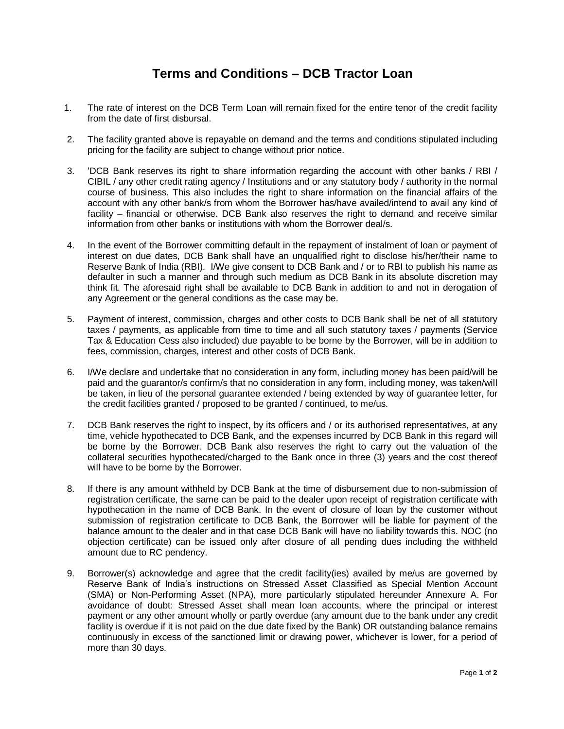## **Terms and Conditions – DCB Tractor Loan**

- 1. The rate of interest on the DCB Term Loan will remain fixed for the entire tenor of the credit facility from the date of first disbursal.
- 2. The facility granted above is repayable on demand and the terms and conditions stipulated including pricing for the facility are subject to change without prior notice.
- 3. 'DCB Bank reserves its right to share information regarding the account with other banks / RBI / CIBIL / any other credit rating agency / Institutions and or any statutory body / authority in the normal course of business. This also includes the right to share information on the financial affairs of the account with any other bank/s from whom the Borrower has/have availed/intend to avail any kind of facility – financial or otherwise. DCB Bank also reserves the right to demand and receive similar information from other banks or institutions with whom the Borrower deal/s.
- 4. In the event of the Borrower committing default in the repayment of instalment of loan or payment of interest on due dates, DCB Bank shall have an unqualified right to disclose his/her/their name to Reserve Bank of India (RBI). I/We give consent to DCB Bank and / or to RBI to publish his name as defaulter in such a manner and through such medium as DCB Bank in its absolute discretion may think fit. The aforesaid right shall be available to DCB Bank in addition to and not in derogation of any Agreement or the general conditions as the case may be.
- 5. Payment of interest, commission, charges and other costs to DCB Bank shall be net of all statutory taxes / payments, as applicable from time to time and all such statutory taxes / payments (Service Tax & Education Cess also included) due payable to be borne by the Borrower, will be in addition to fees, commission, charges, interest and other costs of DCB Bank.
- 6. I/We declare and undertake that no consideration in any form, including money has been paid/will be paid and the guarantor/s confirm/s that no consideration in any form, including money, was taken/will be taken, in lieu of the personal guarantee extended / being extended by way of guarantee letter, for the credit facilities granted / proposed to be granted / continued, to me/us.
- 7. DCB Bank reserves the right to inspect, by its officers and / or its authorised representatives, at any time, vehicle hypothecated to DCB Bank, and the expenses incurred by DCB Bank in this regard will be borne by the Borrower. DCB Bank also reserves the right to carry out the valuation of the collateral securities hypothecated/charged to the Bank once in three (3) years and the cost thereof will have to be borne by the Borrower.
- 8. If there is any amount withheld by DCB Bank at the time of disbursement due to non-submission of registration certificate, the same can be paid to the dealer upon receipt of registration certificate with hypothecation in the name of DCB Bank. In the event of closure of loan by the customer without submission of registration certificate to DCB Bank, the Borrower will be liable for payment of the balance amount to the dealer and in that case DCB Bank will have no liability towards this. NOC (no objection certificate) can be issued only after closure of all pending dues including the withheld amount due to RC pendency.
- 9. Borrower(s) acknowledge and agree that the credit facility(ies) availed by me/us are governed by Reserve Bank of India's instructions on Stressed Asset Classified as Special Mention Account (SMA) or Non-Performing Asset (NPA), more particularly stipulated hereunder Annexure A. For avoidance of doubt: Stressed Asset shall mean loan accounts, where the principal or interest payment or any other amount wholly or partly overdue (any amount due to the bank under any credit facility is overdue if it is not paid on the due date fixed by the Bank) OR outstanding balance remains continuously in excess of the sanctioned limit or drawing power, whichever is lower, for a period of more than 30 days.